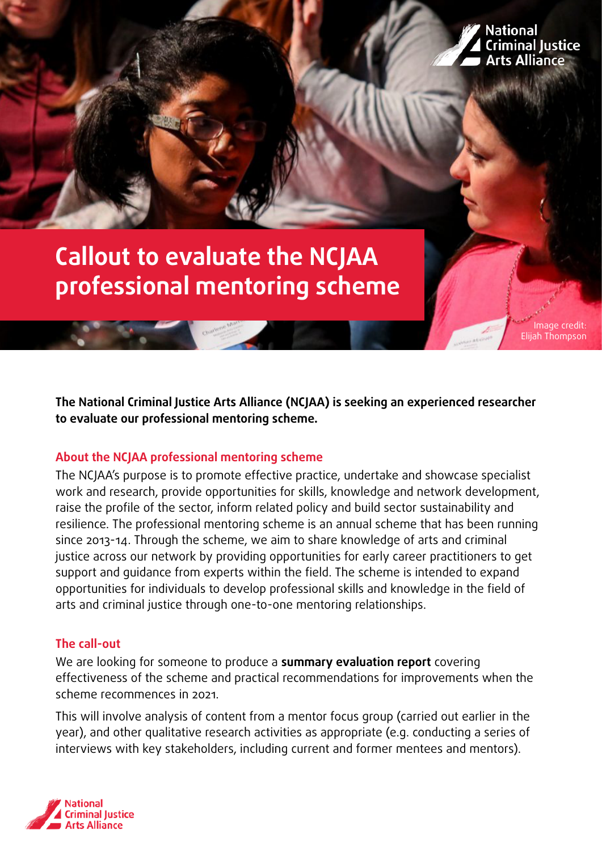

Image credit: Elijah Thompson

# **Callout to evaluate the NCJAA professional mentoring scheme**

**The National Criminal Justice Arts Alliance (NCJAA) is seeking an experienced researcher to evaluate our professional mentoring scheme.**

### **About the NCJAA professional mentoring scheme**

The NCJAA's purpose is to promote effective practice, undertake and showcase specialist work and research, provide opportunities for skills, knowledge and network development, raise the profile of the sector, inform related policy and build sector sustainability and resilience. The professional mentoring scheme is an annual scheme that has been running since 2013-14. Through the scheme, we aim to share knowledge of arts and criminal justice across our network by providing opportunities for early career practitioners to get support and guidance from experts within the field. The scheme is intended to expand opportunities for individuals to develop professional skills and knowledge in the field of arts and criminal justice through one-to-one mentoring relationships.

#### **The call-out**

We are looking for someone to produce a **summary evaluation report** covering effectiveness of the scheme and practical recommendations for improvements when the scheme recommences in 2021.

This will involve analysis of content from a mentor focus group (carried out earlier in the year), and other qualitative research activities as appropriate (e.g. conducting a series of interviews with key stakeholders, including current and former mentees and mentors).